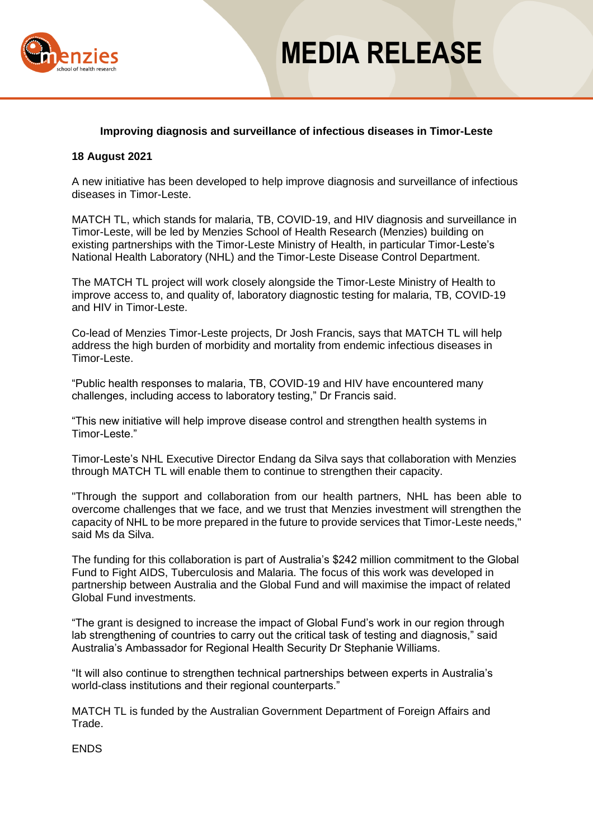

# **MEDIA RELEASE**

### **Improving diagnosis and surveillance of infectious diseases in Timor-Leste**

#### **18 August 2021**

A new initiative has been developed to help improve diagnosis and surveillance of infectious diseases in Timor-Leste.

MATCH TL, which stands for malaria, TB, COVID-19, and HIV diagnosis and surveillance in Timor-Leste, will be led by Menzies School of Health Research (Menzies) building on existing partnerships with the Timor-Leste Ministry of Health, in particular Timor-Leste's National Health Laboratory (NHL) and the Timor-Leste Disease Control Department.

The MATCH TL project will work closely alongside the Timor-Leste Ministry of Health to improve access to, and quality of, laboratory diagnostic testing for malaria, TB, COVID-19 and HIV in Timor-Leste.

Co-lead of Menzies Timor-Leste projects, Dr Josh Francis, says that MATCH TL will help address the high burden of morbidity and mortality from endemic infectious diseases in Timor-Leste.

"Public health responses to malaria, TB, COVID-19 and HIV have encountered many challenges, including access to laboratory testing," Dr Francis said.

"This new initiative will help improve disease control and strengthen health systems in Timor-Leste."

Timor-Leste's NHL Executive Director Endang da Silva says that collaboration with Menzies through MATCH TL will enable them to continue to strengthen their capacity.

"Through the support and collaboration from our health partners, NHL has been able to overcome challenges that we face, and we trust that Menzies investment will strengthen the capacity of NHL to be more prepared in the future to provide services that Timor-Leste needs," said Ms da Silva.

The funding for this collaboration is part of Australia's \$242 million commitment to the Global Fund to Fight AIDS, Tuberculosis and Malaria. The focus of this work was developed in partnership between Australia and the Global Fund and will maximise the impact of related Global Fund investments.

"The grant is designed to increase the impact of Global Fund's work in our region through lab strengthening of countries to carry out the critical task of testing and diagnosis," said Australia's Ambassador for Regional Health Security Dr Stephanie Williams.

"It will also continue to strengthen technical partnerships between experts in Australia's world-class institutions and their regional counterparts."

MATCH TL is funded by the Australian Government Department of Foreign Affairs and Trade.

**FNDS**